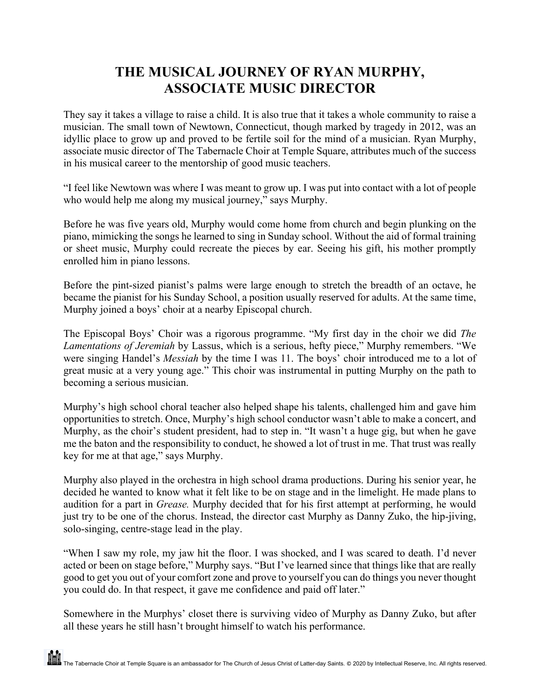## **THE MUSICAL JOURNEY OF RYAN MURPHY, ASSOCIATE MUSIC DIRECTOR**

They say it takes a village to raise a child. It is also true that it takes a whole community to raise a musician. The small town of Newtown, Connecticut, though marked by tragedy in 2012, was an idyllic place to grow up and proved to be fertile soil for the mind of a musician. Ryan Murphy, associate music director of The Tabernacle Choir at Temple Square, attributes much of the success in his musical career to the mentorship of good music teachers.

"I feel like Newtown was where I was meant to grow up. I was put into contact with a lot of people who would help me along my musical journey," says Murphy.

Before he was five years old, Murphy would come home from church and begin plunking on the piano, mimicking the songs he learned to sing in Sunday school. Without the aid of formal training or sheet music, Murphy could recreate the pieces by ear. Seeing his gift, his mother promptly enrolled him in piano lessons.

Before the pint-sized pianist's palms were large enough to stretch the breadth of an octave, he became the pianist for his Sunday School, a position usually reserved for adults. At the same time, Murphy joined a boys' choir at a nearby Episcopal church.

The Episcopal Boys' Choir was a rigorous programme. "My first day in the choir we did *The Lamentations of Jeremiah* by Lassus, which is a serious, hefty piece," Murphy remembers. "We were singing Handel's *Messiah* by the time I was 11. The boys' choir introduced me to a lot of great music at a very young age." This choir was instrumental in putting Murphy on the path to becoming a serious musician.

Murphy's high school choral teacher also helped shape his talents, challenged him and gave him opportunities to stretch. Once, Murphy's high school conductor wasn't able to make a concert, and Murphy, as the choir's student president, had to step in. "It wasn't a huge gig, but when he gave me the baton and the responsibility to conduct, he showed a lot of trust in me. That trust was really key for me at that age," says Murphy.

Murphy also played in the orchestra in high school drama productions. During his senior year, he decided he wanted to know what it felt like to be on stage and in the limelight. He made plans to audition for a part in *Grease.* Murphy decided that for his first attempt at performing, he would just try to be one of the chorus. Instead, the director cast Murphy as Danny Zuko, the hip-jiving, solo-singing, centre-stage lead in the play.

"When I saw my role, my jaw hit the floor. I was shocked, and I was scared to death. I'd never acted or been on stage before," Murphy says. "But I've learned since that things like that are really good to get you out of your comfort zone and prove to yourself you can do things you never thought you could do. In that respect, it gave me confidence and paid off later."

Somewhere in the Murphys' closet there is surviving video of Murphy as Danny Zuko, but after all these years he still hasn't brought himself to watch his performance.